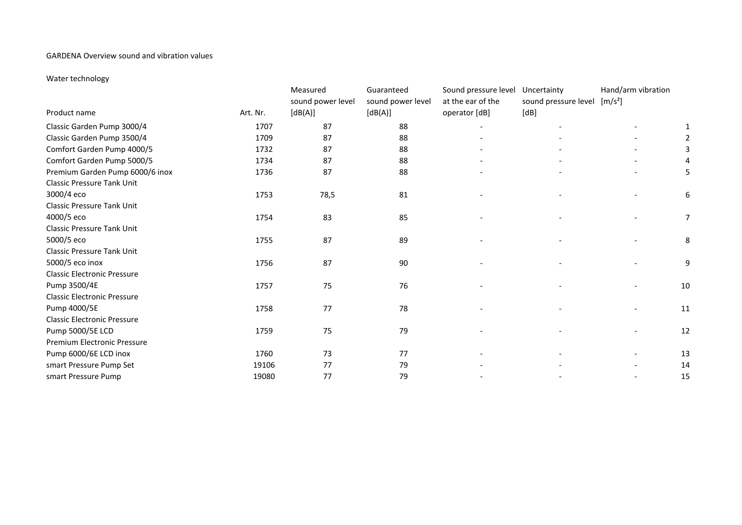## GARDENA Overview sound and vibration values

## Water technology

| Product name                       | Art. Nr. | Measured<br>sound power level<br>[dB(A)] | Guaranteed<br>sound power level<br>[dB(A)] | Sound pressure level<br>at the ear of the<br>operator [dB] | Uncertainty<br>sound pressure level [m/s <sup>2</sup> ]<br>[dB] | Hand/arm vibration       |                |
|------------------------------------|----------|------------------------------------------|--------------------------------------------|------------------------------------------------------------|-----------------------------------------------------------------|--------------------------|----------------|
| Classic Garden Pump 3000/4         | 1707     | 87                                       | 88                                         |                                                            |                                                                 |                          |                |
| Classic Garden Pump 3500/4         | 1709     | 87                                       | 88                                         |                                                            |                                                                 |                          |                |
| Comfort Garden Pump 4000/5         | 1732     | 87                                       | 88                                         |                                                            |                                                                 |                          | 3              |
| Comfort Garden Pump 5000/5         | 1734     | 87                                       | 88                                         |                                                            |                                                                 |                          | 4              |
| Premium Garden Pump 6000/6 inox    | 1736     | 87                                       | 88                                         |                                                            |                                                                 |                          | 5              |
| <b>Classic Pressure Tank Unit</b>  |          |                                          |                                            |                                                            |                                                                 |                          |                |
| 3000/4 eco                         | 1753     | 78,5                                     | 81                                         |                                                            |                                                                 |                          | 6              |
| <b>Classic Pressure Tank Unit</b>  |          |                                          |                                            |                                                            |                                                                 |                          |                |
| 4000/5 eco                         | 1754     | 83                                       | 85                                         |                                                            |                                                                 |                          | $\overline{7}$ |
| <b>Classic Pressure Tank Unit</b>  |          |                                          |                                            |                                                            |                                                                 |                          |                |
| 5000/5 eco                         | 1755     | 87                                       | 89                                         |                                                            |                                                                 |                          | 8              |
| <b>Classic Pressure Tank Unit</b>  |          |                                          |                                            |                                                            |                                                                 |                          |                |
| 5000/5 eco inox                    | 1756     | 87                                       | 90                                         | $\overline{\phantom{a}}$                                   |                                                                 | $\overline{\phantom{0}}$ | 9              |
| <b>Classic Electronic Pressure</b> |          |                                          |                                            |                                                            |                                                                 |                          |                |
| Pump 3500/4E                       | 1757     | 75                                       | 76                                         | $\overline{\phantom{a}}$                                   |                                                                 |                          | 10             |
| <b>Classic Electronic Pressure</b> |          |                                          |                                            |                                                            |                                                                 |                          |                |
| Pump 4000/5E                       | 1758     | 77                                       | 78                                         |                                                            |                                                                 |                          | 11             |
| <b>Classic Electronic Pressure</b> |          |                                          |                                            |                                                            |                                                                 |                          |                |
| Pump 5000/5E LCD                   | 1759     | 75                                       | 79                                         |                                                            |                                                                 |                          | 12             |
| Premium Electronic Pressure        |          |                                          |                                            |                                                            |                                                                 |                          |                |
| Pump 6000/6E LCD inox              | 1760     | 73                                       | 77                                         |                                                            |                                                                 | $\overline{\phantom{0}}$ | 13             |
| smart Pressure Pump Set            | 19106    | 77                                       | 79                                         |                                                            |                                                                 | $\overline{\phantom{a}}$ | 14             |
| smart Pressure Pump                | 19080    | 77                                       | 79                                         |                                                            |                                                                 |                          | 15             |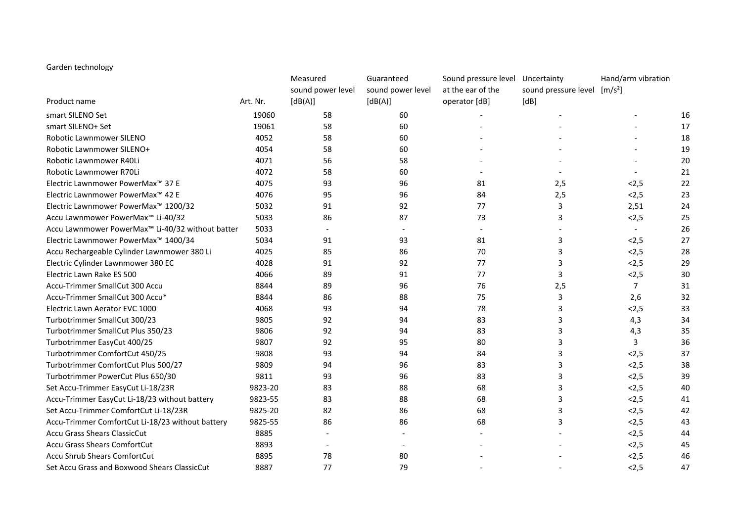## Garden technology

|                                                              |          | Measured          | Guaranteed        | Sound pressure level Uncertainty |                                          | Hand/arm vibration |    |
|--------------------------------------------------------------|----------|-------------------|-------------------|----------------------------------|------------------------------------------|--------------------|----|
|                                                              |          | sound power level | sound power level | at the ear of the                | sound pressure level [m/s <sup>2</sup> ] |                    |    |
| Product name                                                 | Art. Nr. | [dB(A)]           | [dB(A)]           | operator [dB]                    | [dB]                                     |                    |    |
| smart SILENO Set                                             | 19060    | 58                | 60                |                                  |                                          |                    | 16 |
| smart SILENO+ Set                                            | 19061    | 58                | 60                |                                  |                                          |                    | 17 |
| Robotic Lawnmower SILENO                                     | 4052     | 58                | 60                |                                  |                                          |                    | 18 |
| Robotic Lawnmower SILENO+                                    | 4054     | 58                | 60                |                                  |                                          |                    | 19 |
| Robotic Lawnmower R40Li                                      | 4071     | 56                | 58                |                                  |                                          |                    | 20 |
| Robotic Lawnmower R70Li                                      | 4072     | 58                | 60                |                                  |                                          |                    | 21 |
| Electric Lawnmower PowerMax <sup>™</sup> 37 E                | 4075     | 93                | 96                | 81                               | 2,5                                      | < 2, 5             | 22 |
| Electric Lawnmower PowerMax <sup>™</sup> 42 E                | 4076     | 95                | 96                | 84                               | 2,5                                      | < 2, 5             | 23 |
| Electric Lawnmower PowerMax <sup>™</sup> 1200/32             | 5032     | 91                | 92                | 77                               | 3                                        | 2,51               | 24 |
| Accu Lawnmower PowerMax™ Li-40/32                            | 5033     | 86                | 87                | 73                               | 3                                        | < 2, 5             | 25 |
| Accu Lawnmower PowerMax <sup>™</sup> Li-40/32 without batter | 5033     |                   |                   |                                  |                                          |                    | 26 |
| Electric Lawnmower PowerMax <sup>™</sup> 1400/34             | 5034     | 91                | 93                | 81                               | 3                                        | < 2, 5             | 27 |
| Accu Rechargeable Cylinder Lawnmower 380 Li                  | 4025     | 85                | 86                | 70                               | 3                                        | < 2, 5             | 28 |
| Electric Cylinder Lawnmower 380 EC                           | 4028     | 91                | 92                | 77                               | 3                                        | < 2, 5             | 29 |
| Electric Lawn Rake ES 500                                    | 4066     | 89                | 91                | 77                               | 3                                        | < 2, 5             | 30 |
| Accu-Trimmer SmallCut 300 Accu                               | 8844     | 89                | 96                | 76                               | 2,5                                      | $\overline{7}$     | 31 |
| Accu-Trimmer SmallCut 300 Accu*                              | 8844     | 86                | 88                | 75                               | 3                                        | 2,6                | 32 |
| Electric Lawn Aerator EVC 1000                               | 4068     | 93                | 94                | 78                               | 3                                        | < 2, 5             | 33 |
| Turbotrimmer SmallCut 300/23                                 | 9805     | 92                | 94                | 83                               | 3                                        | 4,3                | 34 |
| Turbotrimmer SmallCut Plus 350/23                            | 9806     | 92                | 94                | 83                               | 3                                        | 4,3                | 35 |
| Turbotrimmer EasyCut 400/25                                  | 9807     | 92                | 95                | 80                               | 3                                        | 3                  | 36 |
| Turbotrimmer ComfortCut 450/25                               | 9808     | 93                | 94                | 84                               | 3                                        | < 2, 5             | 37 |
| Turbotrimmer ComfortCut Plus 500/27                          | 9809     | 94                | 96                | 83                               | 3                                        | < 2, 5             | 38 |
| Turbotrimmer PowerCut Plus 650/30                            | 9811     | 93                | 96                | 83                               | 3                                        | < 2, 5             | 39 |
| Set Accu-Trimmer EasyCut Li-18/23R                           | 9823-20  | 83                | 88                | 68                               | 3                                        | < 2, 5             | 40 |
| Accu-Trimmer EasyCut Li-18/23 without battery                | 9823-55  | 83                | 88                | 68                               | 3                                        | < 2, 5             | 41 |
| Set Accu-Trimmer ComfortCut Li-18/23R                        | 9825-20  | 82                | 86                | 68                               | 3                                        | < 2, 5             | 42 |
| Accu-Trimmer ComfortCut Li-18/23 without battery             | 9825-55  | 86                | 86                | 68                               | 3                                        | < 2, 5             | 43 |
| Accu Grass Shears ClassicCut                                 | 8885     |                   |                   |                                  |                                          | < 2, 5             | 44 |
| <b>Accu Grass Shears ComfortCut</b>                          | 8893     |                   |                   |                                  |                                          | < 2, 5             | 45 |
| Accu Shrub Shears ComfortCut                                 | 8895     | 78                | 80                |                                  |                                          | < 2, 5             | 46 |
| Set Accu Grass and Boxwood Shears ClassicCut                 | 8887     | 77                | 79                |                                  |                                          | < 2, 5             | 47 |